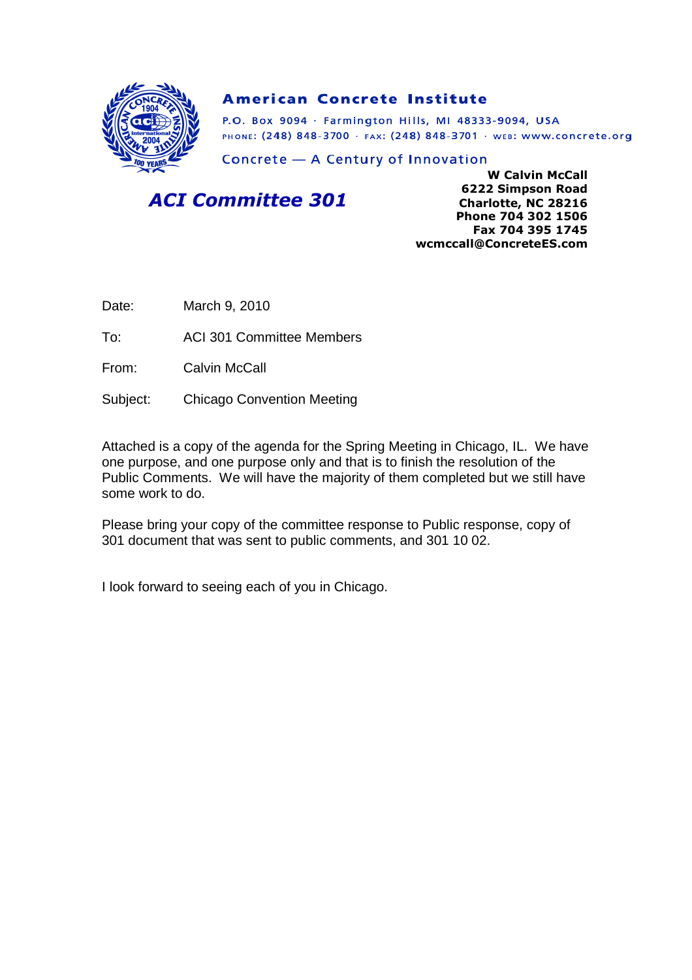

#### **American Concrete Institute**

P.O. Box 9094 · Farmington Hills, MI 48333-9094, USA PHONE: (248) 848-3700 · FAX: (248) 848-3701 · WEB: WWW.CONCrete.org

Concrete - A Century of Innovation

## *ACI Committee 301*

**W Calvin McCall 6222 Simpson Road Charlotte, NC 28216 Phone 704 302 1506 Fax 704 395 1745 wcmccall@ConcreteES.com**

Date: March 9, 2010

To: ACI 301 Committee Members

From: Calvin McCall

Subject: Chicago Convention Meeting

Attached is a copy of the agenda for the Spring Meeting in Chicago, IL. We have one purpose, and one purpose only and that is to finish the resolution of the Public Comments. We will have the majority of them completed but we still have some work to do.

Please bring your copy of the committee response to Public response, copy of 301 document that was sent to public comments, and 301 10 02.

I look forward to seeing each of you in Chicago.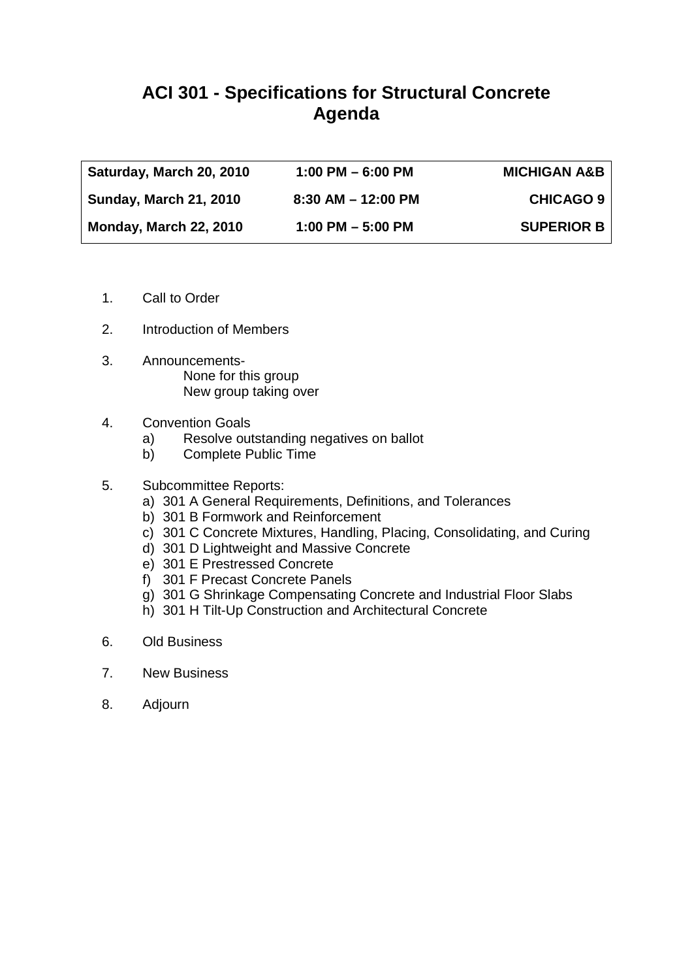# **ACI 301 - Specifications for Structural Concrete Agenda**

| Saturday, March 20, 2010      | $1:00$ PM $-6:00$ PM   | <b>MICHIGAN A&amp;B</b> |
|-------------------------------|------------------------|-------------------------|
| <b>Sunday, March 21, 2010</b> | $8:30$ AM $-$ 12:00 PM | <b>CHICAGO 9</b>        |
| Monday, March 22, 2010        | $1:00$ PM $-5:00$ PM   | <b>SUPERIOR B</b>       |

- 1. Call to Order
- 2. Introduction of Members
- 3. Announcements-None for this group New group taking over
- 4. Convention Goals
	- a) Resolve outstanding negatives on ballot
	- b) Complete Public Time
- 5. Subcommittee Reports:
	- a) 301 A General Requirements, Definitions, and Tolerances
	- b) 301 B Formwork and Reinforcement
	- c) 301 C Concrete Mixtures, Handling, Placing, Consolidating, and Curing
	- d) 301 D Lightweight and Massive Concrete
	- e) 301 E Prestressed Concrete
	- f) 301 F Precast Concrete Panels
	- g) 301 G Shrinkage Compensating Concrete and Industrial Floor Slabs
	- h) 301 H Tilt-Up Construction and Architectural Concrete
- 6. Old Business
- 7. New Business
- 8. Adjourn